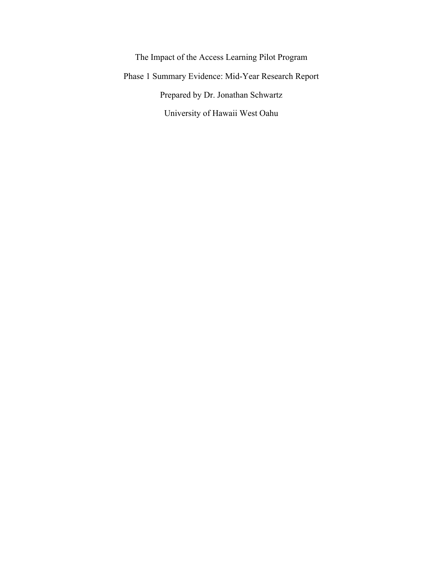The Impact of the Access Learning Pilot Program Phase 1 Summary Evidence: Mid-Year Research Report Prepared by Dr. Jonathan Schwartz University of Hawaii West Oahu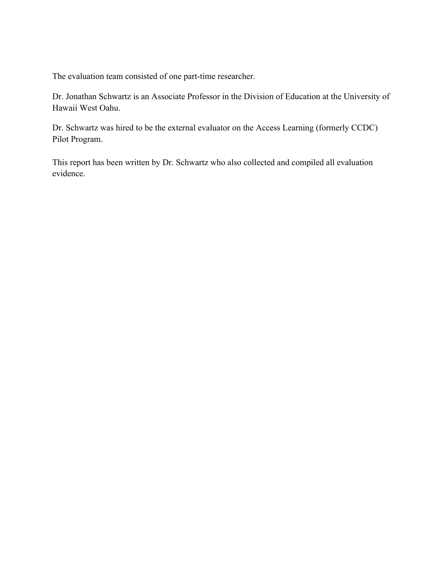The evaluation team consisted of one part-time researcher.

Dr. Jonathan Schwartz is an Associate Professor in the Division of Education at the University of Hawaii West Oahu.

Dr. Schwartz was hired to be the external evaluator on the Access Learning (formerly CCDC) Pilot Program.

This report has been written by Dr. Schwartz who also collected and compiled all evaluation evidence.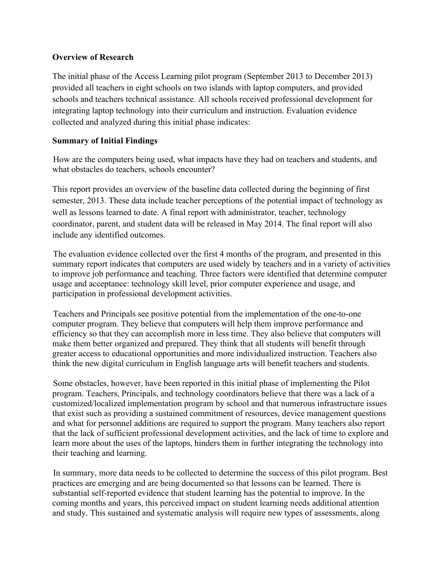### **Overview of Research**

The initial phase of the Access Learning pilot program (September 2013 to December 2013) provided all teachers in eight schools on two islands with laptop computers, and provided schools and teachers technical assistance. All schools received professional development for integrating laptop technology into their curriculum and instruction. Evaluation evidence collected and analyzed during this initial phase indicates:

## **Summary of Initial Findings**

How are the computers being used, what impacts have they had on teachers and students, and what obstacles do teachers, schools encounter?

This report provides an overview of the baseline data collected during the beginning of first semester, 2013. These data include teacher perceptions of the potential impact of technology as well as lessons learned to date. A final report with administrator, teacher, technology coordinator, parent, and student data will be released in May 2014. The final report will also include any identified outcomes.

The evaluation evidence collected over the first 4 months of the program, and presented in this summary report indicates that computers are used widely by teachers and in a variety of activities to improve job performance and teaching. Three factors were identified that determine computer usage and acceptance: technology skill level, prior computer experience and usage, and participation in professional development activities.

Teachers and Principals see positive potential from the implementation of the one-to-one computer program. They believe that computers will help them improve performance and efficiency so that they can accomplish more in less time. They also believe that computers will make them better organized and prepared. They think that all students will benefit through greater access to educational opportunities and more individualized instruction. Teachers also think the new digital curriculum in English language arts will benefit teachers and students.

Some obstacles, however, have been reported in this initial phase of implementing the Pilot program. Teachers, Principals, and technology coordinators believe that there was a lack of a customized/localized implementation program by school and that numerous infrastructure issues that exist such as providing a sustained commitment of resources, device management questions and what for personnel additions are required to support the program. Many teachers also report that the lack of sufficient professional development activities, and the lack of time to explore and learn more about the uses of the laptops, hinders them in further integrating the technology into their teaching and learning.

In summary, more data needs to be collected to determine the success of this pilot program. Best practices are emerging and are being documented so that lessons can be learned. There is substantial self-reported evidence that student learning has the potential to improve. In the coming months and years, this perceived impact on student learning needs additional attention and study. This sustained and systematic analysis will require new types of assessments, along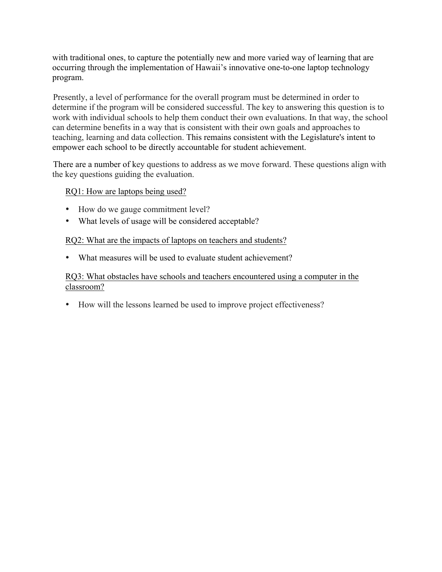with traditional ones, to capture the potentially new and more varied way of learning that are occurring through the implementation of Hawaii's innovative one-to-one laptop technology program.

Presently, a level of performance for the overall program must be determined in order to determine if the program will be considered successful. The key to answering this question is to work with individual schools to help them conduct their own evaluations. In that way, the school can determine benefits in a way that is consistent with their own goals and approaches to teaching, learning and data collection. This remains consistent with the Legislature's intent to empower each school to be directly accountable for student achievement.

There are a number of key questions to address as we move forward. These questions align with the key questions guiding the evaluation.

### RQ1: How are laptops being used?

- How do we gauge commitment level?
- What levels of usage will be considered acceptable?

### RQ2: What are the impacts of laptops on teachers and students?

• What measures will be used to evaluate student achievement?

## RQ3: What obstacles have schools and teachers encountered using a computer in the classroom?

• How will the lessons learned be used to improve project effectiveness?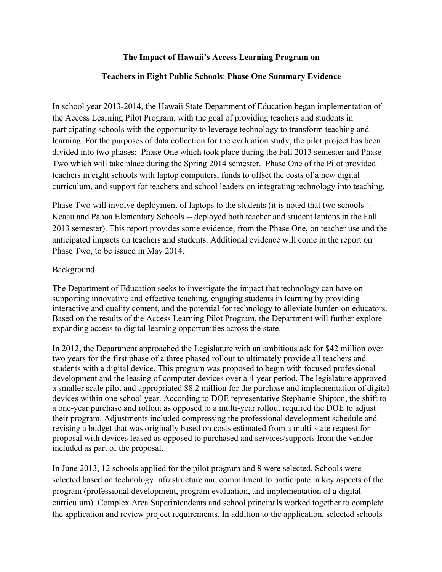# **The Impact of Hawaii's Access Learning Program on**

## **Teachers in Eight Public Schools**: **Phase One Summary Evidence**

In school year 2013-2014, the Hawaii State Department of Education began implementation of the Access Learning Pilot Program, with the goal of providing teachers and students in participating schools with the opportunity to leverage technology to transform teaching and learning. For the purposes of data collection for the evaluation study, the pilot project has been divided into two phases: Phase One which took place during the Fall 2013 semester and Phase Two which will take place during the Spring 2014 semester. Phase One of the Pilot provided teachers in eight schools with laptop computers, funds to offset the costs of a new digital curriculum, and support for teachers and school leaders on integrating technology into teaching.

Phase Two will involve deployment of laptops to the students (it is noted that two schools -- Keaau and Pahoa Elementary Schools -- deployed both teacher and student laptops in the Fall 2013 semester). This report provides some evidence, from the Phase One, on teacher use and the anticipated impacts on teachers and students. Additional evidence will come in the report on Phase Two, to be issued in May 2014.

## Background

The Department of Education seeks to investigate the impact that technology can have on supporting innovative and effective teaching, engaging students in learning by providing interactive and quality content, and the potential for technology to alleviate burden on educators. Based on the results of the Access Learning Pilot Program, the Department will further explore expanding access to digital learning opportunities across the state.

In 2012, the Department approached the Legislature with an ambitious ask for \$42 million over two years for the first phase of a three phased rollout to ultimately provide all teachers and students with a digital device. This program was proposed to begin with focused professional development and the leasing of computer devices over a 4-year period. The legislature approved a smaller scale pilot and appropriated \$8.2 million for the purchase and implementation of digital devices within one school year. According to DOE representative Stephanie Shipton, the shift to a one-year purchase and rollout as opposed to a multi-year rollout required the DOE to adjust their program. Adjustments included compressing the professional development schedule and revising a budget that was originally based on costs estimated from a multi-state request for proposal with devices leased as opposed to purchased and services/supports from the vendor included as part of the proposal.

In June 2013, 12 schools applied for the pilot program and 8 were selected. Schools were selected based on technology infrastructure and commitment to participate in key aspects of the program (professional development, program evaluation, and implementation of a digital curriculum). Complex Area Superintendents and school principals worked together to complete the application and review project requirements. In addition to the application, selected schools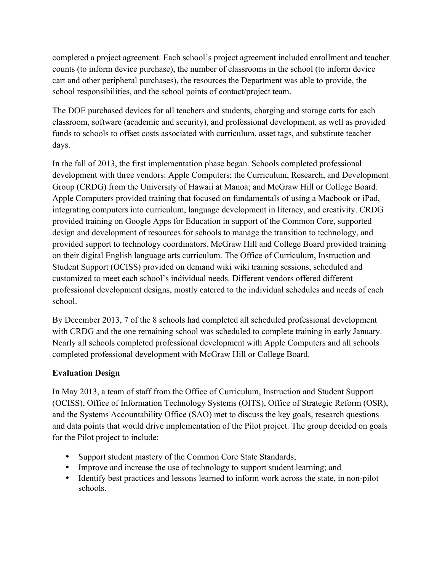completed a project agreement. Each school's project agreement included enrollment and teacher counts (to inform device purchase), the number of classrooms in the school (to inform device cart and other peripheral purchases), the resources the Department was able to provide, the school responsibilities, and the school points of contact/project team.

The DOE purchased devices for all teachers and students, charging and storage carts for each classroom, software (academic and security), and professional development, as well as provided funds to schools to offset costs associated with curriculum, asset tags, and substitute teacher days.

In the fall of 2013, the first implementation phase began. Schools completed professional development with three vendors: Apple Computers; the Curriculum, Research, and Development Group (CRDG) from the University of Hawaii at Manoa; and McGraw Hill or College Board. Apple Computers provided training that focused on fundamentals of using a Macbook or iPad, integrating computers into curriculum, language development in literacy, and creativity. CRDG provided training on Google Apps for Education in support of the Common Core, supported design and development of resources for schools to manage the transition to technology, and provided support to technology coordinators. McGraw Hill and College Board provided training on their digital English language arts curriculum. The Office of Curriculum, Instruction and Student Support (OCISS) provided on demand wiki wiki training sessions, scheduled and customized to meet each school's individual needs. Different vendors offered different professional development designs, mostly catered to the individual schedules and needs of each school.

By December 2013, 7 of the 8 schools had completed all scheduled professional development with CRDG and the one remaining school was scheduled to complete training in early January. Nearly all schools completed professional development with Apple Computers and all schools completed professional development with McGraw Hill or College Board.

# **Evaluation Design**

In May 2013, a team of staff from the Office of Curriculum, Instruction and Student Support (OCISS), Office of Information Technology Systems (OITS), Office of Strategic Reform (OSR), and the Systems Accountability Office (SAO) met to discuss the key goals, research questions and data points that would drive implementation of the Pilot project. The group decided on goals for the Pilot project to include:

- Support student mastery of the Common Core State Standards;
- Improve and increase the use of technology to support student learning; and
- Identify best practices and lessons learned to inform work across the state, in non-pilot schools.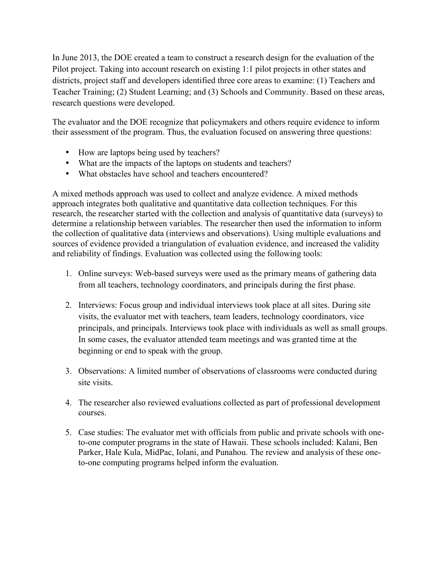In June 2013, the DOE created a team to construct a research design for the evaluation of the Pilot project. Taking into account research on existing 1:1 pilot projects in other states and districts, project staff and developers identified three core areas to examine: (1) Teachers and Teacher Training; (2) Student Learning; and (3) Schools and Community. Based on these areas, research questions were developed.

The evaluator and the DOE recognize that policymakers and others require evidence to inform their assessment of the program. Thus, the evaluation focused on answering three questions:

- How are laptops being used by teachers?
- What are the impacts of the laptops on students and teachers?
- What obstacles have school and teachers encountered?

A mixed methods approach was used to collect and analyze evidence. A mixed methods approach integrates both qualitative and quantitative data collection techniques. For this research, the researcher started with the collection and analysis of quantitative data (surveys) to determine a relationship between variables. The researcher then used the information to inform the collection of qualitative data (interviews and observations). Using multiple evaluations and sources of evidence provided a triangulation of evaluation evidence, and increased the validity and reliability of findings. Evaluation was collected using the following tools:

- 1. Online surveys: Web-based surveys were used as the primary means of gathering data from all teachers, technology coordinators, and principals during the first phase.
- 2. Interviews: Focus group and individual interviews took place at all sites. During site visits, the evaluator met with teachers, team leaders, technology coordinators, vice principals, and principals. Interviews took place with individuals as well as small groups. In some cases, the evaluator attended team meetings and was granted time at the beginning or end to speak with the group.
- 3. Observations: A limited number of observations of classrooms were conducted during site visits.
- 4. The researcher also reviewed evaluations collected as part of professional development courses.
- 5. Case studies: The evaluator met with officials from public and private schools with oneto-one computer programs in the state of Hawaii. These schools included: Kalani, Ben Parker, Hale Kula, MidPac, Iolani, and Punahou. The review and analysis of these oneto-one computing programs helped inform the evaluation.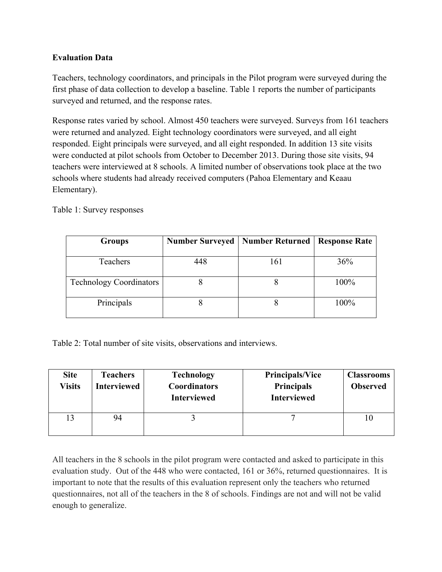# **Evaluation Data**

Teachers, technology coordinators, and principals in the Pilot program were surveyed during the first phase of data collection to develop a baseline. Table 1 reports the number of participants surveyed and returned, and the response rates.

Response rates varied by school. Almost 450 teachers were surveyed. Surveys from 161 teachers were returned and analyzed. Eight technology coordinators were surveyed, and all eight responded. Eight principals were surveyed, and all eight responded. In addition 13 site visits were conducted at pilot schools from October to December 2013. During those site visits, 94 teachers were interviewed at 8 schools. A limited number of observations took place at the two schools where students had already received computers (Pahoa Elementary and Keaau Elementary).

| <b>Groups</b>                  | <b>Number Surveyed</b> | <b>Number Returned</b> | <b>Response Rate</b> |
|--------------------------------|------------------------|------------------------|----------------------|
| Teachers                       | 448                    | 161                    | 36%                  |
| <b>Technology Coordinators</b> |                        |                        | 100%                 |
| Principals                     |                        |                        | 100%                 |

Table 1: Survey responses

Table 2: Total number of site visits, observations and interviews.

| <b>Site</b><br><b>Visits</b> | <b>Teachers</b><br>Interviewed | <b>Technology</b><br><b>Coordinators</b><br><b>Interviewed</b> | <b>Principals/Vice</b><br><b>Principals</b><br><b>Interviewed</b> | <b>Classrooms</b><br><b>Observed</b> |
|------------------------------|--------------------------------|----------------------------------------------------------------|-------------------------------------------------------------------|--------------------------------------|
| 13                           | 94                             |                                                                |                                                                   | 10                                   |

All teachers in the 8 schools in the pilot program were contacted and asked to participate in this evaluation study. Out of the 448 who were contacted, 161 or 36%, returned questionnaires. It is important to note that the results of this evaluation represent only the teachers who returned questionnaires, not all of the teachers in the 8 of schools. Findings are not and will not be valid enough to generalize.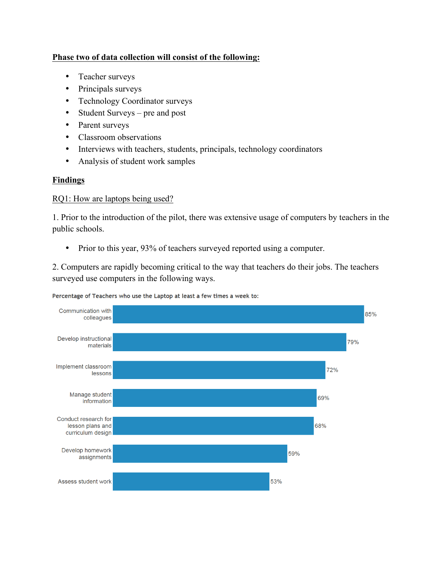# **Phase two of data collection will consist of the following:**

- Teacher surveys
- Principals surveys
- Technology Coordinator surveys
- Student Surveys pre and post
- Parent surveys
- Classroom observations
- Interviews with teachers, students, principals, technology coordinators
- Analysis of student work samples

# **Findings**

# RQ1: How are laptops being used?

1. Prior to the introduction of the pilot, there was extensive usage of computers by teachers in the public schools.

• Prior to this year, 93% of teachers surveyed reported using a computer.

2. Computers are rapidly becoming critical to the way that teachers do their jobs. The teachers surveyed use computers in the following ways.



Percentage of Teachers who use the Laptop at least a few times a week to: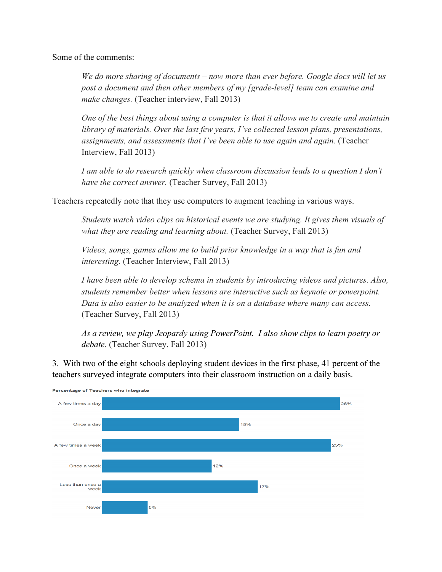Some of the comments:

*We do more sharing of documents – now more than ever before. Google docs will let us post a document and then other members of my [grade-level] team can examine and make changes.* (Teacher interview, Fall 2013)

*One of the best things about using a computer is that it allows me to create and maintain library of materials. Over the last few years, I've collected lesson plans, presentations, assignments, and assessments that I've been able to use again and again.* (Teacher Interview, Fall 2013)

*I am able to do research quickly when classroom discussion leads to a question I don't have the correct answer.* (Teacher Survey, Fall 2013)

Teachers repeatedly note that they use computers to augment teaching in various ways.

*Students watch video clips on historical events we are studying. It gives them visuals of*  what they are reading and learning about. (Teacher Survey, Fall 2013)

*Videos, songs, games allow me to build prior knowledge in a way that is fun and interesting.* (Teacher Interview, Fall 2013)

*I have been able to develop schema in students by introducing videos and pictures. Also, students remember better when lessons are interactive such as keynote or powerpoint. Data is also easier to be analyzed when it is on a database where many can access.* (Teacher Survey, Fall 2013)

*As a review, we play Jeopardy using PowerPoint. I also show clips to learn poetry or debate.* (Teacher Survey, Fall 2013)

3. With two of the eight schools deploying student devices in the first phase, 41 percent of the teachers surveyed integrate computers into their classroom instruction on a daily basis.



Percentage of Teachers who integrate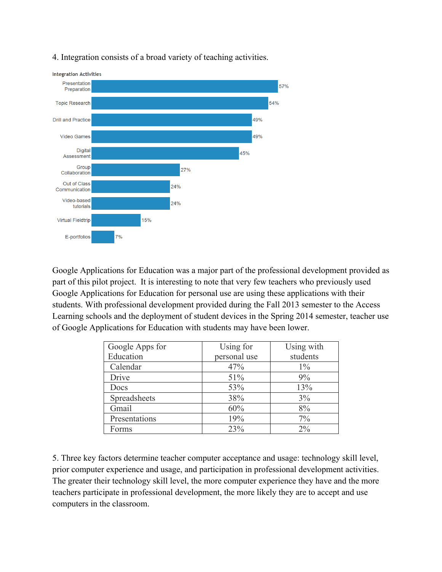4. Integration consists of a broad variety of teaching activities.



**Integration Activities** 

Google Applications for Education was a major part of the professional development provided as part of this pilot project. It is interesting to note that very few teachers who previously used Google Applications for Education for personal use are using these applications with their students. With professional development provided during the Fall 2013 semester to the Access Learning schools and the deployment of student devices in the Spring 2014 semester, teacher use of Google Applications for Education with students may have been lower.

| Google Apps for | Using for    | Using with |
|-----------------|--------------|------------|
| Education       | personal use | students   |
| Calendar        | 47%          | $1\%$      |
| Drive           | 51%          | 9%         |
| Docs            | 53%          | 13%        |
| Spreadsheets    | 38%          | 3%         |
| Gmail           | 60%          | 8%         |
| Presentations   | 19%          | 7%         |
| Forms           | 23%          | $2\%$      |

5. Three key factors determine teacher computer acceptance and usage: technology skill level, prior computer experience and usage, and participation in professional development activities. The greater their technology skill level, the more computer experience they have and the more teachers participate in professional development, the more likely they are to accept and use computers in the classroom.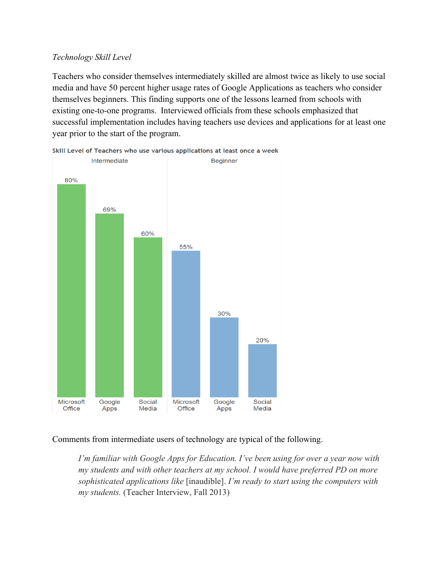## *Technology Skill Level*

Teachers who consider themselves intermediately skilled are almost twice as likely to use social media and have 50 percent higher usage rates of Google Applications as teachers who consider themselves beginners. This finding supports one of the lessons learned from schools with existing one-to-one programs. Interviewed officials from these schools emphasized that successful implementation includes having teachers use devices and applications for at least one year prior to the start of the program.



Skill Level of Teachers who use various applications at least once a week

Comments from intermediate users of technology are typical of the following.

*I'm familiar with Google Apps for Education. I've been using for over a year now with my students and with other teachers at my school. I would have preferred PD on more sophisticated applications like* [inaudible]. *I'm ready to start using the computers with my students.* (Teacher Interview, Fall 2013)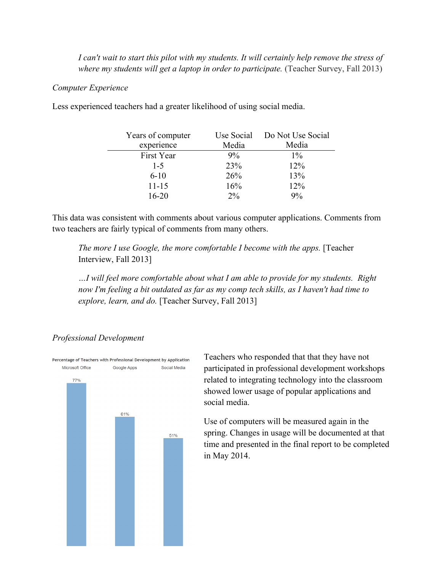*I can't wait to start this pilot with my students. It will certainly help remove the stress of where my students will get a laptop in order to participate.* (Teacher Survey, Fall 2013)

#### *Computer Experience*

Less experienced teachers had a greater likelihood of using social media.

| Years of computer | Use Social | Do Not Use Social |
|-------------------|------------|-------------------|
| experience        | Media      | Media             |
| First Year        | 9%         | $1\%$             |
| $1 - 5$           | 23%        | 12%               |
| $6-10$            | 26%        | 13%               |
| $11 - 15$         | 16%        | 12%               |
| 16-20             | $2\%$      | $9\%$             |

This data was consistent with comments about various computer applications. Comments from two teachers are fairly typical of comments from many others.

*The more I use Google, the more comfortable I become with the apps.* [Teacher Interview, Fall 2013]

*…I will feel more comfortable about what I am able to provide for my students. Right now I'm feeling a bit outdated as far as my comp tech skills, as I haven't had time to explore, learn, and do.* [Teacher Survey, Fall 2013]

### *Professional Development*



Teachers who responded that that they have not participated in professional development workshops related to integrating technology into the classroom showed lower usage of popular applications and social media.

Use of computers will be measured again in the spring. Changes in usage will be documented at that time and presented in the final report to be completed in May 2014.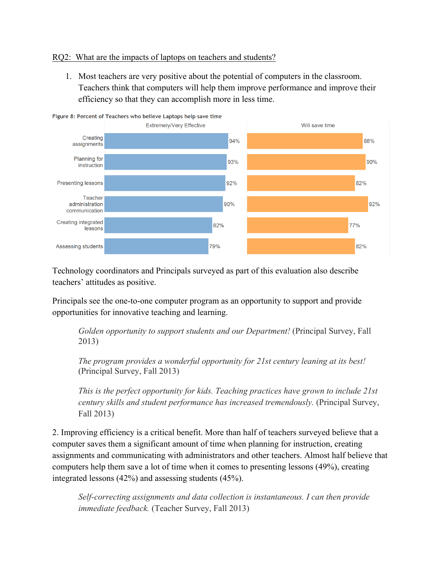## RQ2: What are the impacts of laptops on teachers and students?

1. Most teachers are very positive about the potential of computers in the classroom. Teachers think that computers will help them improve performance and improve their efficiency so that they can accomplish more in less time.



Technology coordinators and Principals surveyed as part of this evaluation also describe teachers' attitudes as positive.

Principals see the one-to-one computer program as an opportunity to support and provide opportunities for innovative teaching and learning.

*Golden opportunity to support students and our Department!* (Principal Survey, Fall 2013)

*The program provides a wonderful opportunity for 21st century leaning at its best!* (Principal Survey, Fall 2013)

*This is the perfect opportunity for kids. Teaching practices have grown to include 21st century skills and student performance has increased tremendously.* (Principal Survey, Fall 2013)

2. Improving efficiency is a critical benefit. More than half of teachers surveyed believe that a computer saves them a significant amount of time when planning for instruction, creating assignments and communicating with administrators and other teachers. Almost half believe that computers help them save a lot of time when it comes to presenting lessons (49%), creating integrated lessons (42%) and assessing students (45%).

*Self-correcting assignments and data collection is instantaneous. I can then provide immediate feedback.* (Teacher Survey, Fall 2013)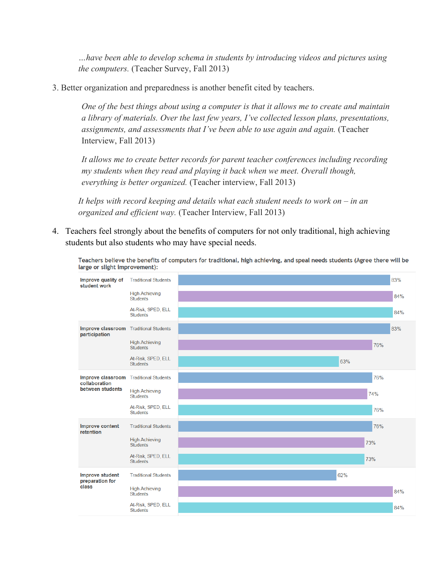*…have been able to develop schema in students by introducing videos and pictures using the computers.* (Teacher Survey, Fall 2013)

3. Better organization and preparedness is another benefit cited by teachers.

*One of the best things about using a computer is that it allows me to create and maintain a library of materials. Over the last few years, I've collected lesson plans, presentations, assignments, and assessments that I've been able to use again and again.* (Teacher Interview, Fall 2013)

*It allows me to create better records for parent teacher conferences including recording my students when they read and playing it back when we meet. Overall though, everything is better organized.* (Teacher interview, Fall 2013)

*It helps with record keeping and details what each student needs to work on – in an organized and efficient way.* (Teacher Interview, Fall 2013)

4. Teachers feel strongly about the benefits of computers for not only traditional, high achieving students but also students who may have special needs.



Teachers believe the benefits of computers for traditional, high achieving, and speal needs students (Agree there will be large or slight improvement):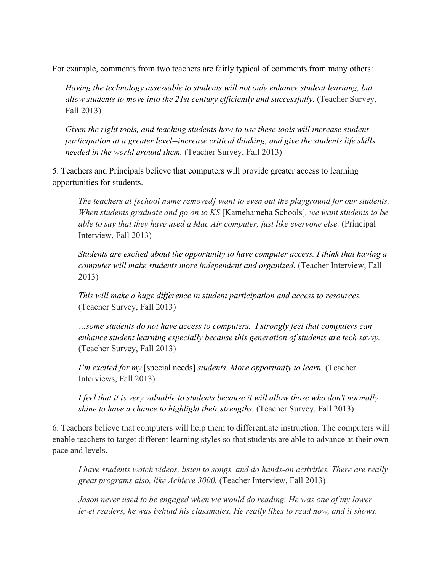For example, comments from two teachers are fairly typical of comments from many others:

*Having the technology assessable to students will not only enhance student learning, but allow students to move into the 21st century efficiently and successfully.* (Teacher Survey, Fall 2013)

*Given the right tools, and teaching students how to use these tools will increase student participation at a greater level--increase critical thinking, and give the students life skills needed in the world around them.* (Teacher Survey, Fall 2013)

5. Teachers and Principals believe that computers will provide greater access to learning opportunities for students.

*The teachers at [school name removed] want to even out the playground for our students. When students graduate and go on to KS* [Kamehameha Schools]*, we want students to be able to say that they have used a Mac Air computer, just like everyone else.* (Principal Interview, Fall 2013)

*Students are excited about the opportunity to have computer access. I think that having a computer will make students more independent and organized.* (Teacher Interview, Fall 2013)

*This will make a huge difference in student participation and access to resources.* (Teacher Survey, Fall 2013)

*…some students do not have access to computers. I strongly feel that computers can enhance student learning especially because this generation of students are tech savvy.* (Teacher Survey, Fall 2013)

*I'm excited for my* [special needs] *students. More opportunity to learn.* (Teacher Interviews, Fall 2013)

*I feel that it is very valuable to students because it will allow those who don't normally shine to have a chance to highlight their strengths.* (Teacher Survey, Fall 2013)

6. Teachers believe that computers will help them to differentiate instruction. The computers will enable teachers to target different learning styles so that students are able to advance at their own pace and levels.

*I have students watch videos, listen to songs, and do hands-on activities. There are really great programs also, like Achieve 3000.* (Teacher Interview, Fall 2013)

*Jason never used to be engaged when we would do reading. He was one of my lower level readers, he was behind his classmates. He really likes to read now, and it shows.*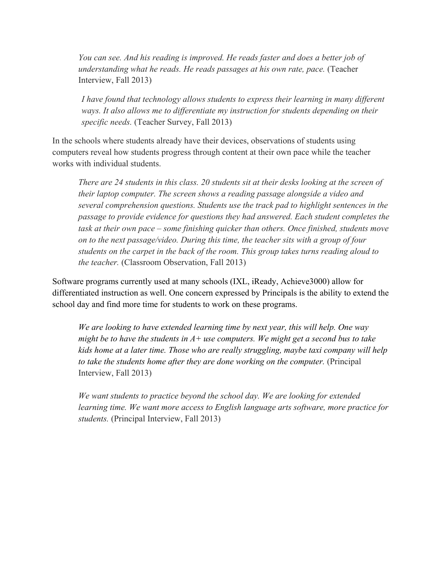*You can see. And his reading is improved. He reads faster and does a better job of understanding what he reads. He reads passages at his own rate, pace.* (Teacher Interview, Fall 2013)

*I have found that technology allows students to express their learning in many different ways. It also allows me to differentiate my instruction for students depending on their specific needs.* (Teacher Survey, Fall 2013)

In the schools where students already have their devices, observations of students using computers reveal how students progress through content at their own pace while the teacher works with individual students.

*There are 24 students in this class. 20 students sit at their desks looking at the screen of their laptop computer. The screen shows a reading passage alongside a video and several comprehension questions. Students use the track pad to highlight sentences in the passage to provide evidence for questions they had answered. Each student completes the task at their own pace – some finishing quicker than others. Once finished, students move on to the next passage/video. During this time, the teacher sits with a group of four students on the carpet in the back of the room. This group takes turns reading aloud to the teacher.* (Classroom Observation, Fall 2013)

Software programs currently used at many schools (IXL, iReady, Achieve3000) allow for differentiated instruction as well. One concern expressed by Principals is the ability to extend the school day and find more time for students to work on these programs.

*We are looking to have extended learning time by next year, this will help. One way might be to have the students in A+ use computers. We might get a second bus to take kids home at a later time. Those who are really struggling, maybe taxi company will help to take the students home after they are done working on the computer.* (Principal Interview, Fall 2013)

*We want students to practice beyond the school day. We are looking for extended learning time. We want more access to English language arts software, more practice for students.* (Principal Interview, Fall 2013)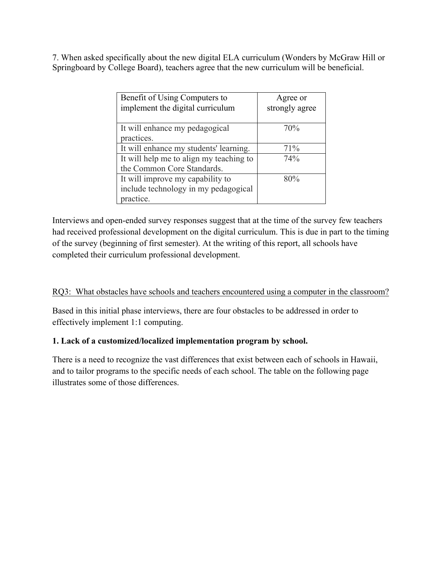7. When asked specifically about the new digital ELA curriculum (Wonders by McGraw Hill or Springboard by College Board), teachers agree that the new curriculum will be beneficial.

| Benefit of Using Computers to           | Agree or       |
|-----------------------------------------|----------------|
| implement the digital curriculum        | strongly agree |
|                                         |                |
| It will enhance my pedagogical          | 70%            |
| practices.                              |                |
| It will enhance my students' learning.  | 71%            |
| It will help me to align my teaching to | 74%            |
| the Common Core Standards.              |                |
| It will improve my capability to        | 80%            |
| include technology in my pedagogical    |                |
| practice.                               |                |

Interviews and open-ended survey responses suggest that at the time of the survey few teachers had received professional development on the digital curriculum. This is due in part to the timing of the survey (beginning of first semester). At the writing of this report, all schools have completed their curriculum professional development.

# RQ3: What obstacles have schools and teachers encountered using a computer in the classroom?

Based in this initial phase interviews, there are four obstacles to be addressed in order to effectively implement 1:1 computing.

## **1. Lack of a customized/localized implementation program by school.**

There is a need to recognize the vast differences that exist between each of schools in Hawaii, and to tailor programs to the specific needs of each school. The table on the following page illustrates some of those differences.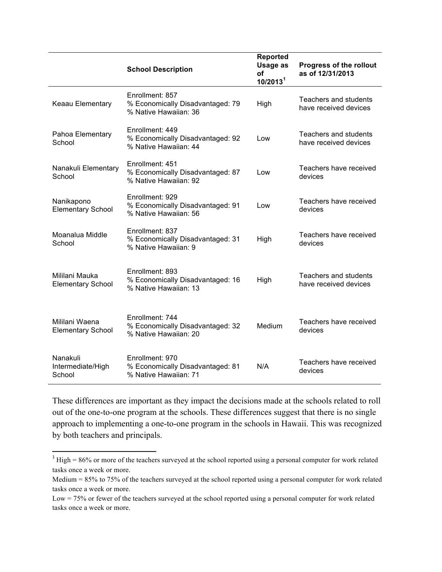|                                            | <b>School Description</b>                                                    | <b>Reported</b><br>Usage as<br>οf<br>10/2013 <sup>1</sup> | <b>Progress of the rollout</b><br>as of 12/31/2013    |
|--------------------------------------------|------------------------------------------------------------------------------|-----------------------------------------------------------|-------------------------------------------------------|
| Keaau Elementary                           | Enrollment: 857<br>% Economically Disadvantaged: 79<br>% Native Hawaiian: 36 | High                                                      | Teachers and students<br>have received devices        |
| Pahoa Elementary<br>School                 | Enrollment: 449<br>% Economically Disadvantaged: 92<br>% Native Hawaiian: 44 | Low                                                       | Teachers and students<br>have received devices        |
| Nanakuli Elementary<br>School              | Enrollment: 451<br>% Economically Disadvantaged: 87<br>% Native Hawaiian: 92 | Low                                                       | Teachers have received<br>devices                     |
| Nanikapono<br><b>Elementary School</b>     | Enrollment: 929<br>% Economically Disadvantaged: 91<br>% Native Hawaiian: 56 | Low                                                       | Teachers have received<br>devices                     |
| Moanalua Middle<br>School                  | Enrollment: 837<br>% Economically Disadvantaged: 31<br>% Native Hawaiian: 9  | High                                                      | Teachers have received<br>devices                     |
| Mililani Mauka<br><b>Elementary School</b> | Enrollment: 893<br>% Economically Disadvantaged: 16<br>% Native Hawaiian: 13 | High                                                      | <b>Teachers and students</b><br>have received devices |
| Mililani Waena<br><b>Elementary School</b> | Enrollment: 744<br>% Economically Disadvantaged: 32<br>% Native Hawaiian: 20 | Medium                                                    | Teachers have received<br>devices                     |
| Nanakuli<br>Intermediate/High<br>School    | Enrollment: 970<br>% Economically Disadvantaged: 81<br>% Native Hawaiian: 71 | N/A                                                       | Teachers have received<br>devices                     |

These differences are important as they impact the decisions made at the schools related to roll out of the one-to-one program at the schools. These differences suggest that there is no single approach to implementing a one-to-one program in the schools in Hawaii. This was recognized by both teachers and principals.

 

 $1$  High = 86% or more of the teachers surveyed at the school reported using a personal computer for work related tasks once a week or more.

Medium = 85% to 75% of the teachers surveyed at the school reported using a personal computer for work related tasks once a week or more.

Low = 75% or fewer of the teachers surveyed at the school reported using a personal computer for work related tasks once a week or more.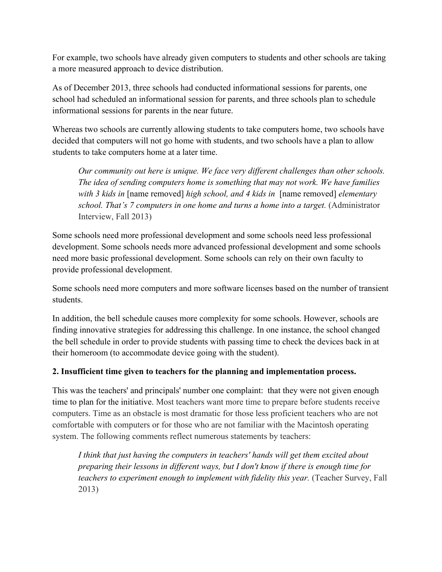For example, two schools have already given computers to students and other schools are taking a more measured approach to device distribution.

As of December 2013, three schools had conducted informational sessions for parents, one school had scheduled an informational session for parents, and three schools plan to schedule informational sessions for parents in the near future.

Whereas two schools are currently allowing students to take computers home, two schools have decided that computers will not go home with students, and two schools have a plan to allow students to take computers home at a later time.

*Our community out here is unique. We face very different challenges than other schools. The idea of sending computers home is something that may not work. We have families with 3 kids in* [name removed] *high school, and 4 kids in* [name removed] *elementary school. That's 7 computers in one home and turns a home into a target.* (Administrator Interview, Fall 2013)

Some schools need more professional development and some schools need less professional development. Some schools needs more advanced professional development and some schools need more basic professional development. Some schools can rely on their own faculty to provide professional development.

Some schools need more computers and more software licenses based on the number of transient students.

In addition, the bell schedule causes more complexity for some schools. However, schools are finding innovative strategies for addressing this challenge. In one instance, the school changed the bell schedule in order to provide students with passing time to check the devices back in at their homeroom (to accommodate device going with the student).

# **2. Insufficient time given to teachers for the planning and implementation process.**

This was the teachers' and principals' number one complaint: that they were not given enough time to plan for the initiative. Most teachers want more time to prepare before students receive computers. Time as an obstacle is most dramatic for those less proficient teachers who are not comfortable with computers or for those who are not familiar with the Macintosh operating system. The following comments reflect numerous statements by teachers:

*I think that just having the computers in teachers' hands will get them excited about preparing their lessons in different ways, but I don't know if there is enough time for teachers to experiment enough to implement with fidelity this year.* (Teacher Survey, Fall 2013)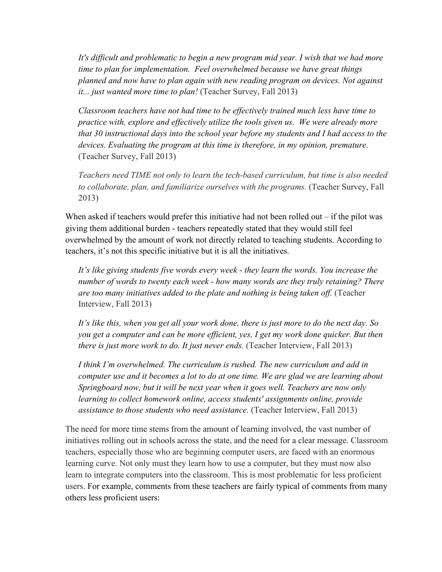*It's difficult and problematic to begin a new program mid year. I wish that we had more time to plan for implementation. Feel overwhelmed because we have great things planned and now have to plan again with new reading program on devices. Not against it... just wanted more time to plan!* (Teacher Survey, Fall 2013)

*Classroom teachers have not had time to be effectively trained much less have time to practice with, explore and effectively utilize the tools given us. We were already more that 30 instructional days into the school year before my students and I had access to the devices. Evaluating the program at this time is therefore, in my opinion, premature.* (Teacher Survey, Fall 2013)

*Teachers need TIME not only to learn the tech-based curriculum, but time is also needed to collaborate, plan, and familiarize ourselves with the programs.* (Teacher Survey, Fall 2013)

When asked if teachers would prefer this initiative had not been rolled out  $-$  if the pilot was giving them additional burden - teachers repeatedly stated that they would still feel overwhelmed by the amount of work not directly related to teaching students. According to teachers, it's not this specific initiative but it is all the initiatives.

*It's like giving students five words every week - they learn the words. You increase the number of words to twenty each week - how many words are they truly retaining? There are too many initiatives added to the plate and nothing is being taken off.* (Teacher Interview, Fall 2013)

*It's like this, when you get all your work done, there is just more to do the next day. So you get a computer and can be more efficient, yes, I get my work done quicker. But then there is just more work to do. It just never ends.* (Teacher Interview, Fall 2013)

*I think I'm overwhelmed. The curriculum is rushed. The new curriculum and add in computer use and it becomes a lot to do at one time. We are glad we are learning about Springboard now, but it will be next year when it goes well. Teachers are now only learning to collect homework online, access students' assignments online, provide assistance to those students who need assistance.* (Teacher Interview, Fall 2013)

The need for more time stems from the amount of learning involved, the vast number of initiatives rolling out in schools across the state, and the need for a clear message. Classroom teachers, especially those who are beginning computer users, are faced with an enormous learning curve. Not only must they learn how to use a computer, but they must now also learn to integrate computers into the classroom. This is most problematic for less proficient users. For example, comments from these teachers are fairly typical of comments from many others less proficient users: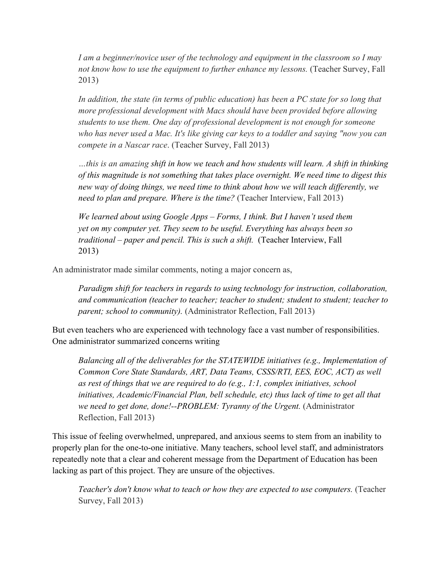*I am a beginner/novice user of the technology and equipment in the classroom so I may not know how to use the equipment to further enhance my lessons.* (Teacher Survey, Fall 2013)

*In addition, the state (in terms of public education) has been a PC state for so long that more professional development with Macs should have been provided before allowing students to use them. One day of professional development is not enough for someone who has never used a Mac. It's like giving car keys to a toddler and saying "now you can compete in a Nascar race*. (Teacher Survey, Fall 2013)

*…this is an amazing shift in how we teach and how students will learn. A shift in thinking of this magnitude is not something that takes place overnight. We need time to digest this new way of doing things, we need time to think about how we will teach differently, we need to plan and prepare. Where is the time?* (Teacher Interview, Fall 2013)

*We learned about using Google Apps – Forms, I think. But I haven't used them yet on my computer yet. They seem to be useful. Everything has always been so traditional – paper and pencil. This is such a shift.* (Teacher Interview, Fall 2013)

An administrator made similar comments, noting a major concern as,

*Paradigm shift for teachers in regards to using technology for instruction, collaboration, and communication (teacher to teacher; teacher to student; student to student; teacher to parent; school to community).* (Administrator Reflection, Fall 2013)

But even teachers who are experienced with technology face a vast number of responsibilities. One administrator summarized concerns writing

*Balancing all of the deliverables for the STATEWIDE initiatives (e.g., Implementation of Common Core State Standards, ART, Data Teams, CSSS/RTI, EES, EOC, ACT) as well as rest of things that we are required to do (e.g., 1:1, complex initiatives, school initiatives, Academic/Financial Plan, bell schedule, etc) thus lack of time to get all that*  we need to get done, done!--PROBLEM: Tyranny of the Urgent. (Administrator Reflection, Fall 2013)

This issue of feeling overwhelmed, unprepared, and anxious seems to stem from an inability to properly plan for the one-to-one initiative. Many teachers, school level staff, and administrators repeatedly note that a clear and coherent message from the Department of Education has been lacking as part of this project. They are unsure of the objectives.

*Teacher's don't know what to teach or how they are expected to use computers.* (Teacher Survey, Fall 2013)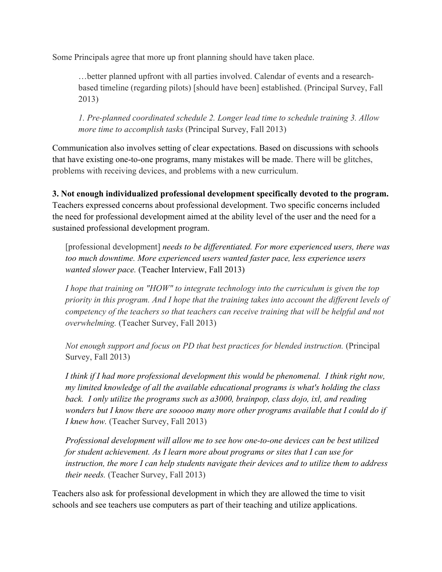Some Principals agree that more up front planning should have taken place.

…better planned upfront with all parties involved. Calendar of events and a researchbased timeline (regarding pilots) [should have been] established. (Principal Survey, Fall 2013)

*1. Pre-planned coordinated schedule 2. Longer lead time to schedule training 3. Allow more time to accomplish tasks* (Principal Survey, Fall 2013)

Communication also involves setting of clear expectations. Based on discussions with schools that have existing one-to-one programs, many mistakes will be made. There will be glitches, problems with receiving devices, and problems with a new curriculum.

**3. Not enough individualized professional development specifically devoted to the program.**

Teachers expressed concerns about professional development. Two specific concerns included the need for professional development aimed at the ability level of the user and the need for a sustained professional development program.

[professional development] *needs to be differentiated. For more experienced users, there was too much downtime. More experienced users wanted faster pace, less experience users wanted slower pace.* (Teacher Interview, Fall 2013)

*I hope that training on "HOW" to integrate technology into the curriculum is given the top priority in this program. And I hope that the training takes into account the different levels of competency of the teachers so that teachers can receive training that will be helpful and not overwhelming.* (Teacher Survey, Fall 2013)

*Not enough support and focus on PD that best practices for blended instruction.* (Principal Survey, Fall 2013)

*I think if I had more professional development this would be phenomenal. I think right now, my limited knowledge of all the available educational programs is what's holding the class back. I only utilize the programs such as a3000, brainpop, class dojo, ixl, and reading wonders but I know there are sooooo many more other programs available that I could do if I knew how.* (Teacher Survey, Fall 2013)

*Professional development will allow me to see how one-to-one devices can be best utilized for student achievement. As I learn more about programs or sites that I can use for instruction, the more I can help students navigate their devices and to utilize them to address their needs.* (Teacher Survey, Fall 2013)

Teachers also ask for professional development in which they are allowed the time to visit schools and see teachers use computers as part of their teaching and utilize applications.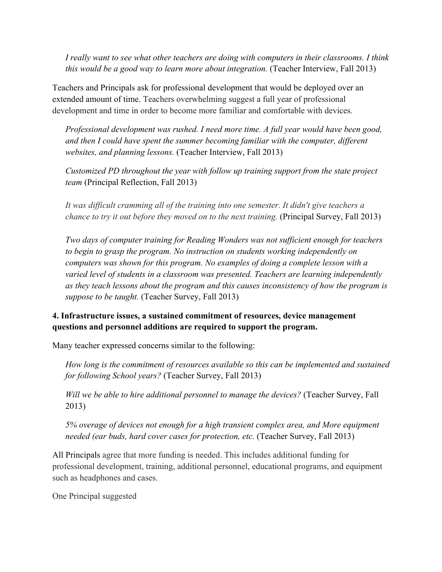*I really want to see what other teachers are doing with computers in their classrooms. I think this would be a good way to learn more about integration.* (Teacher Interview, Fall 2013)

Teachers and Principals ask for professional development that would be deployed over an extended amount of time. Teachers overwhelming suggest a full year of professional development and time in order to become more familiar and comfortable with devices.

*Professional development was rushed. I need more time. A full year would have been good, and then I could have spent the summer becoming familiar with the computer, different websites, and planning lessons.* (Teacher Interview, Fall 2013)

*Customized PD throughout the year with follow up training support from the state project team* (Principal Reflection, Fall 2013)

*It was difficult cramming all of the training into one semester. It didn't give teachers a chance to try it out before they moved on to the next training.* (Principal Survey, Fall 2013)

*Two days of computer training for Reading Wonders was not sufficient enough for teachers to begin to grasp the program. No instruction on students working independently on computers was shown for this program. No examples of doing a complete lesson with a varied level of students in a classroom was presented. Teachers are learning independently as they teach lessons about the program and this causes inconsistency of how the program is suppose to be taught.* (Teacher Survey, Fall 2013)

# **4. Infrastructure issues, a sustained commitment of resources, device management questions and personnel additions are required to support the program.**

Many teacher expressed concerns similar to the following:

*How long is the commitment of resources available so this can be implemented and sustained for following School years?* (Teacher Survey, Fall 2013)

*Will we be able to hire additional personnel to manage the devices?* (Teacher Survey, Fall 2013)

*5% overage of devices not enough for a high transient complex area, and More equipment needed (ear buds, hard cover cases for protection, etc.* (Teacher Survey, Fall 2013)

All Principals agree that more funding is needed. This includes additional funding for professional development, training, additional personnel, educational programs, and equipment such as headphones and cases.

One Principal suggested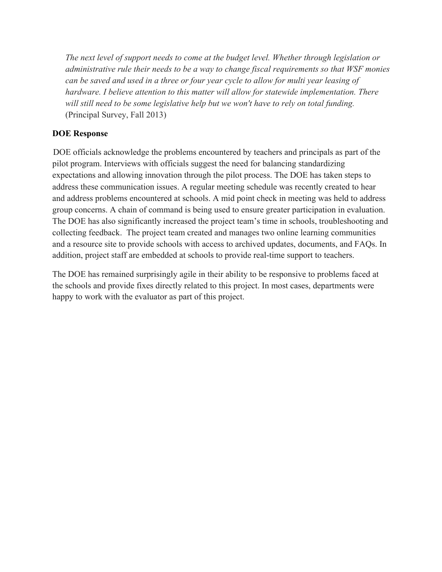*The next level of support needs to come at the budget level. Whether through legislation or administrative rule their needs to be a way to change fiscal requirements so that WSF monies can be saved and used in a three or four year cycle to allow for multi year leasing of hardware. I believe attention to this matter will allow for statewide implementation. There will still need to be some legislative help but we won't have to rely on total funding.* (Principal Survey, Fall 2013)

# **DOE Response**

DOE officials acknowledge the problems encountered by teachers and principals as part of the pilot program. Interviews with officials suggest the need for balancing standardizing expectations and allowing innovation through the pilot process. The DOE has taken steps to address these communication issues. A regular meeting schedule was recently created to hear and address problems encountered at schools. A mid point check in meeting was held to address group concerns. A chain of command is being used to ensure greater participation in evaluation. The DOE has also significantly increased the project team's time in schools, troubleshooting and collecting feedback. The project team created and manages two online learning communities and a resource site to provide schools with access to archived updates, documents, and FAQs. In addition, project staff are embedded at schools to provide real-time support to teachers.

The DOE has remained surprisingly agile in their ability to be responsive to problems faced at the schools and provide fixes directly related to this project. In most cases, departments were happy to work with the evaluator as part of this project.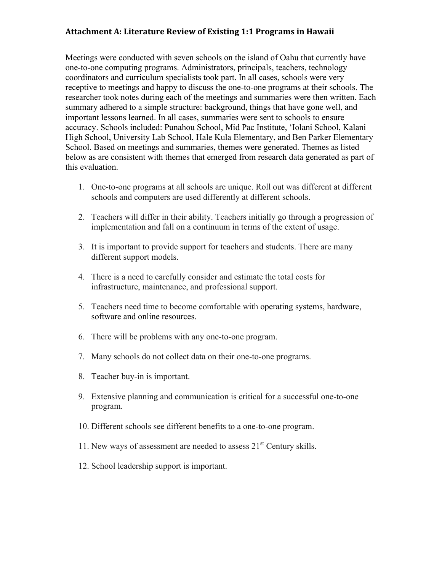Meetings were conducted with seven schools on the island of Oahu that currently have one-to-one computing programs. Administrators, principals, teachers, technology coordinators and curriculum specialists took part. In all cases, schools were very receptive to meetings and happy to discuss the one-to-one programs at their schools. The researcher took notes during each of the meetings and summaries were then written. Each summary adhered to a simple structure: background, things that have gone well, and important lessons learned. In all cases, summaries were sent to schools to ensure accuracy. Schools included: Punahou School, Mid Pac Institute, 'Iolani School, Kalani High School, University Lab School, Hale Kula Elementary, and Ben Parker Elementary School. Based on meetings and summaries, themes were generated. Themes as listed below as are consistent with themes that emerged from research data generated as part of this evaluation.

- 1. One-to-one programs at all schools are unique. Roll out was different at different schools and computers are used differently at different schools.
- 2. Teachers will differ in their ability. Teachers initially go through a progression of implementation and fall on a continuum in terms of the extent of usage.
- 3. It is important to provide support for teachers and students. There are many different support models.
- 4. There is a need to carefully consider and estimate the total costs for infrastructure, maintenance, and professional support.
- 5. Teachers need time to become comfortable with operating systems, hardware, software and online resources.
- 6. There will be problems with any one-to-one program.
- 7. Many schools do not collect data on their one-to-one programs.
- 8. Teacher buy-in is important.
- 9. Extensive planning and communication is critical for a successful one-to-one program.
- 10. Different schools see different benefits to a one-to-one program.
- 11. New ways of assessment are needed to assess  $21<sup>st</sup>$  Century skills.
- 12. School leadership support is important.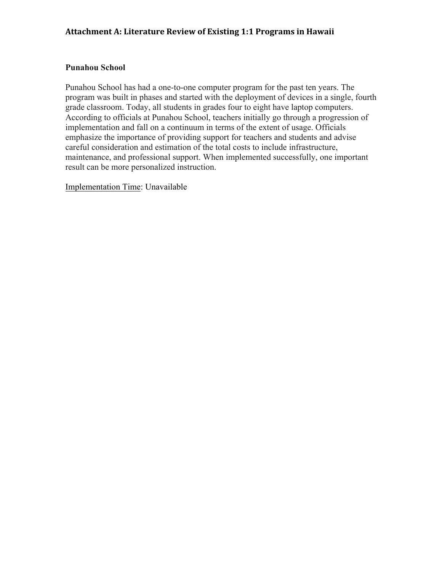### **Punahou School**

Punahou School has had a one-to-one computer program for the past ten years. The program was built in phases and started with the deployment of devices in a single, fourth grade classroom. Today, all students in grades four to eight have laptop computers. According to officials at Punahou School, teachers initially go through a progression of implementation and fall on a continuum in terms of the extent of usage. Officials emphasize the importance of providing support for teachers and students and advise careful consideration and estimation of the total costs to include infrastructure, maintenance, and professional support. When implemented successfully, one important result can be more personalized instruction.

Implementation Time: Unavailable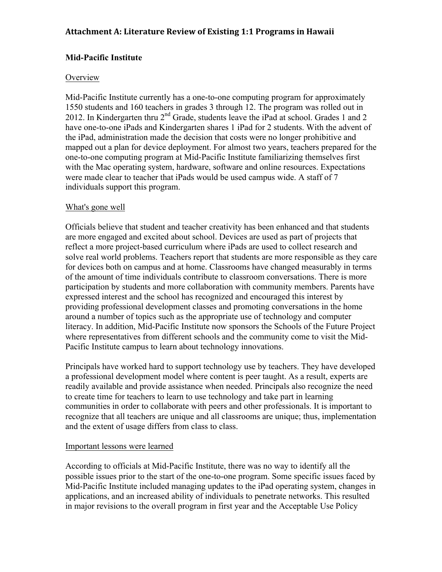## **Mid-Pacific Institute**

### **Overview**

Mid-Pacific Institute currently has a one-to-one computing program for approximately 1550 students and 160 teachers in grades 3 through 12. The program was rolled out in 2012. In Kindergarten thru  $2<sup>nd</sup>$  Grade, students leave the iPad at school. Grades 1 and 2 have one-to-one iPads and Kindergarten shares 1 iPad for 2 students. With the advent of the iPad, administration made the decision that costs were no longer prohibitive and mapped out a plan for device deployment. For almost two years, teachers prepared for the one-to-one computing program at Mid-Pacific Institute familiarizing themselves first with the Mac operating system, hardware, software and online resources. Expectations were made clear to teacher that iPads would be used campus wide. A staff of 7 individuals support this program.

### What's gone well

Officials believe that student and teacher creativity has been enhanced and that students are more engaged and excited about school. Devices are used as part of projects that reflect a more project-based curriculum where iPads are used to collect research and solve real world problems. Teachers report that students are more responsible as they care for devices both on campus and at home. Classrooms have changed measurably in terms of the amount of time individuals contribute to classroom conversations. There is more participation by students and more collaboration with community members. Parents have expressed interest and the school has recognized and encouraged this interest by providing professional development classes and promoting conversations in the home around a number of topics such as the appropriate use of technology and computer literacy. In addition, Mid-Pacific Institute now sponsors the Schools of the Future Project where representatives from different schools and the community come to visit the Mid-Pacific Institute campus to learn about technology innovations.

Principals have worked hard to support technology use by teachers. They have developed a professional development model where content is peer taught. As a result, experts are readily available and provide assistance when needed. Principals also recognize the need to create time for teachers to learn to use technology and take part in learning communities in order to collaborate with peers and other professionals. It is important to recognize that all teachers are unique and all classrooms are unique; thus, implementation and the extent of usage differs from class to class.

### Important lessons were learned

According to officials at Mid-Pacific Institute, there was no way to identify all the possible issues prior to the start of the one-to-one program. Some specific issues faced by Mid-Pacific Institute included managing updates to the iPad operating system, changes in applications, and an increased ability of individuals to penetrate networks. This resulted in major revisions to the overall program in first year and the Acceptable Use Policy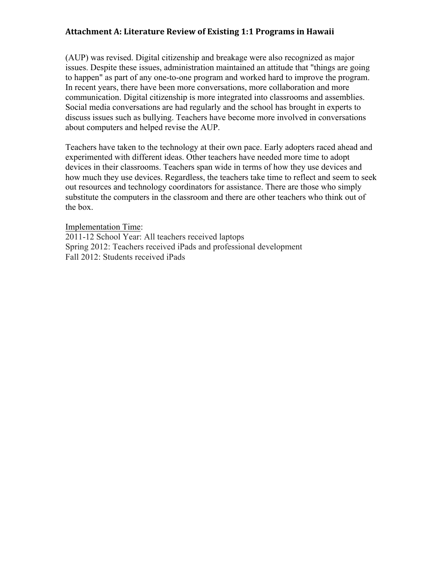(AUP) was revised. Digital citizenship and breakage were also recognized as major issues. Despite these issues, administration maintained an attitude that "things are going to happen" as part of any one-to-one program and worked hard to improve the program. In recent years, there have been more conversations, more collaboration and more communication. Digital citizenship is more integrated into classrooms and assemblies. Social media conversations are had regularly and the school has brought in experts to discuss issues such as bullying. Teachers have become more involved in conversations about computers and helped revise the AUP.

Teachers have taken to the technology at their own pace. Early adopters raced ahead and experimented with different ideas. Other teachers have needed more time to adopt devices in their classrooms. Teachers span wide in terms of how they use devices and how much they use devices. Regardless, the teachers take time to reflect and seem to seek out resources and technology coordinators for assistance. There are those who simply substitute the computers in the classroom and there are other teachers who think out of the box.

Implementation Time: 2011-12 School Year: All teachers received laptops Spring 2012: Teachers received iPads and professional development Fall 2012: Students received iPads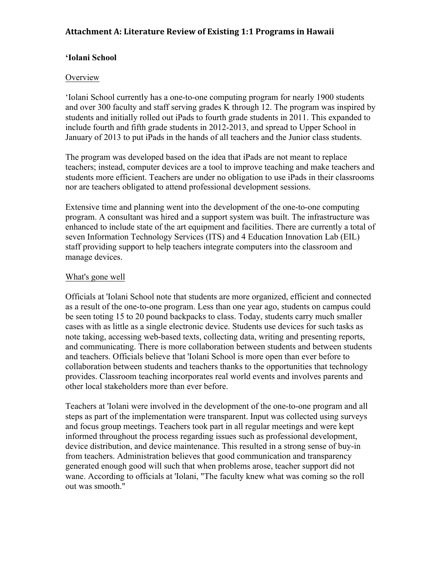## **'Iolani School**

### **Overview**

'Iolani School currently has a one-to-one computing program for nearly 1900 students and over 300 faculty and staff serving grades K through 12. The program was inspired by students and initially rolled out iPads to fourth grade students in 2011. This expanded to include fourth and fifth grade students in 2012-2013, and spread to Upper School in January of 2013 to put iPads in the hands of all teachers and the Junior class students.

The program was developed based on the idea that iPads are not meant to replace teachers; instead, computer devices are a tool to improve teaching and make teachers and students more efficient. Teachers are under no obligation to use iPads in their classrooms nor are teachers obligated to attend professional development sessions.

Extensive time and planning went into the development of the one-to-one computing program. A consultant was hired and a support system was built. The infrastructure was enhanced to include state of the art equipment and facilities. There are currently a total of seven Information Technology Services (ITS) and 4 Education Innovation Lab (EIL) staff providing support to help teachers integrate computers into the classroom and manage devices.

### What's gone well

Officials at 'Iolani School note that students are more organized, efficient and connected as a result of the one-to-one program. Less than one year ago, students on campus could be seen toting 15 to 20 pound backpacks to class. Today, students carry much smaller cases with as little as a single electronic device. Students use devices for such tasks as note taking, accessing web-based texts, collecting data, writing and presenting reports, and communicating. There is more collaboration between students and between students and teachers. Officials believe that 'Iolani School is more open than ever before to collaboration between students and teachers thanks to the opportunities that technology provides. Classroom teaching incorporates real world events and involves parents and other local stakeholders more than ever before.

Teachers at 'Iolani were involved in the development of the one-to-one program and all steps as part of the implementation were transparent. Input was collected using surveys and focus group meetings. Teachers took part in all regular meetings and were kept informed throughout the process regarding issues such as professional development, device distribution, and device maintenance. This resulted in a strong sense of buy-in from teachers. Administration believes that good communication and transparency generated enough good will such that when problems arose, teacher support did not wane. According to officials at 'Iolani, "The faculty knew what was coming so the roll out was smooth."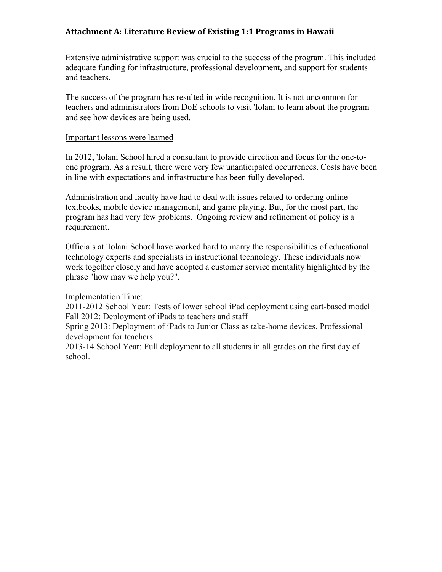Extensive administrative support was crucial to the success of the program. This included adequate funding for infrastructure, professional development, and support for students and teachers.

The success of the program has resulted in wide recognition. It is not uncommon for teachers and administrators from DoE schools to visit 'Iolani to learn about the program and see how devices are being used.

### Important lessons were learned

In 2012, 'Iolani School hired a consultant to provide direction and focus for the one-toone program. As a result, there were very few unanticipated occurrences. Costs have been in line with expectations and infrastructure has been fully developed.

Administration and faculty have had to deal with issues related to ordering online textbooks, mobile device management, and game playing. But, for the most part, the program has had very few problems. Ongoing review and refinement of policy is a requirement.

Officials at 'Iolani School have worked hard to marry the responsibilities of educational technology experts and specialists in instructional technology. These individuals now work together closely and have adopted a customer service mentality highlighted by the phrase "how may we help you?".

### Implementation Time:

2011-2012 School Year: Tests of lower school iPad deployment using cart-based model Fall 2012: Deployment of iPads to teachers and staff

Spring 2013: Deployment of iPads to Junior Class as take-home devices. Professional development for teachers.

2013-14 School Year: Full deployment to all students in all grades on the first day of school.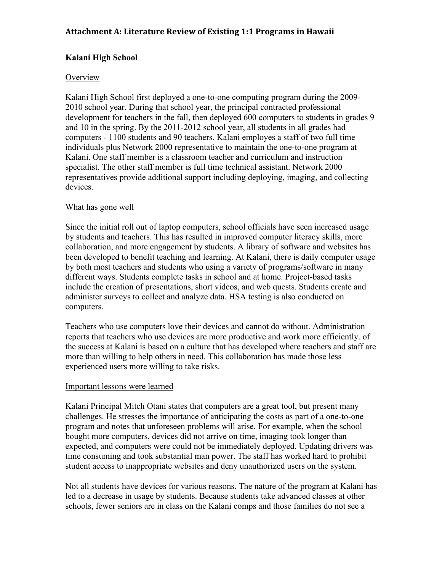## **Kalani High School**

### **Overview**

Kalani High School first deployed a one-to-one computing program during the 2009- 2010 school year. During that school year, the principal contracted professional development for teachers in the fall, then deployed 600 computers to students in grades 9 and 10 in the spring. By the 2011-2012 school year, all students in all grades had computers - 1100 students and 90 teachers. Kalani employes a staff of two full time individuals plus Network 2000 representative to maintain the one-to-one program at Kalani. One staff member is a classroom teacher and curriculum and instruction specialist. The other staff member is full time technical assistant. Network 2000 representatives provide additional support including deploying, imaging, and collecting devices.

### What has gone well

Since the initial roll out of laptop computers, school officials have seen increased usage by students and teachers. This has resulted in improved computer literacy skills, more collaboration, and more engagement by students. A library of software and websites has been developed to benefit teaching and learning. At Kalani, there is daily computer usage by both most teachers and students who using a variety of programs/software in many different ways. Students complete tasks in school and at home. Project-based tasks include the creation of presentations, short videos, and web quests. Students create and administer surveys to collect and analyze data. HSA testing is also conducted on computers.

Teachers who use computers love their devices and cannot do without. Administration reports that teachers who use devices are more productive and work more efficiently. of the success at Kalani is based on a culture that has developed where teachers and staff are more than willing to help others in need. This collaboration has made those less experienced users more willing to take risks.

### Important lessons were learned

Kalani Principal Mitch Otani states that computers are a great tool, but present many challenges. He stresses the importance of anticipating the costs as part of a one-to-one program and notes that unforeseen problems will arise. For example, when the school bought more computers, devices did not arrive on time, imaging took longer than expected, and computers were could not be immediately deployed. Updating drivers was time consuming and took substantial man power. The staff has worked hard to prohibit student access to inappropriate websites and deny unauthorized users on the system.

Not all students have devices for various reasons. The nature of the program at Kalani has led to a decrease in usage by students. Because students take advanced classes at other schools, fewer seniors are in class on the Kalani comps and those families do not see a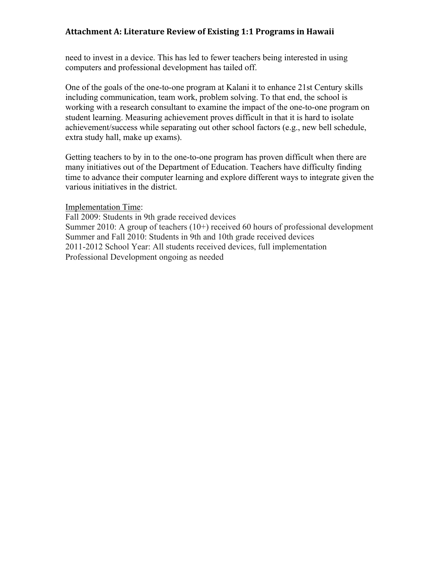need to invest in a device. This has led to fewer teachers being interested in using computers and professional development has tailed off.

One of the goals of the one-to-one program at Kalani it to enhance 21st Century skills including communication, team work, problem solving. To that end, the school is working with a research consultant to examine the impact of the one-to-one program on student learning. Measuring achievement proves difficult in that it is hard to isolate achievement/success while separating out other school factors (e.g., new bell schedule, extra study hall, make up exams).

Getting teachers to by in to the one-to-one program has proven difficult when there are many initiatives out of the Department of Education. Teachers have difficulty finding time to advance their computer learning and explore different ways to integrate given the various initiatives in the district.

#### Implementation Time:

Fall 2009: Students in 9th grade received devices Summer 2010: A group of teachers (10+) received 60 hours of professional development Summer and Fall 2010: Students in 9th and 10th grade received devices 2011-2012 School Year: All students received devices, full implementation Professional Development ongoing as needed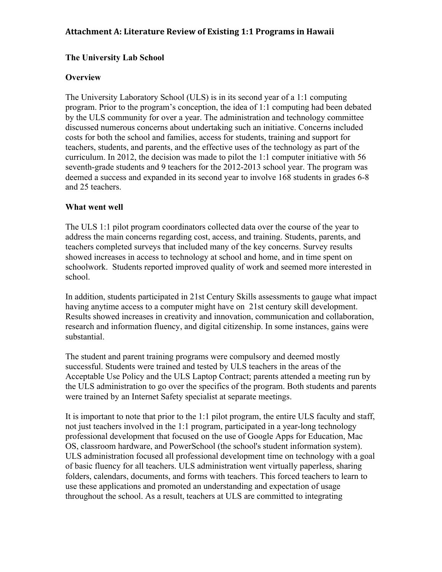## **The University Lab School**

### **Overview**

The University Laboratory School (ULS) is in its second year of a 1:1 computing program. Prior to the program's conception, the idea of 1:1 computing had been debated by the ULS community for over a year. The administration and technology committee discussed numerous concerns about undertaking such an initiative. Concerns included costs for both the school and families, access for students, training and support for teachers, students, and parents, and the effective uses of the technology as part of the curriculum. In 2012, the decision was made to pilot the 1:1 computer initiative with 56 seventh-grade students and 9 teachers for the 2012-2013 school year. The program was deemed a success and expanded in its second year to involve 168 students in grades 6-8 and 25 teachers.

### **What went well**

The ULS 1:1 pilot program coordinators collected data over the course of the year to address the main concerns regarding cost, access, and training. Students, parents, and teachers completed surveys that included many of the key concerns. Survey results showed increases in access to technology at school and home, and in time spent on schoolwork. Students reported improved quality of work and seemed more interested in school.

In addition, students participated in 21st Century Skills assessments to gauge what impact having anytime access to a computer might have on 21st century skill development. Results showed increases in creativity and innovation, communication and collaboration, research and information fluency, and digital citizenship. In some instances, gains were substantial.

The student and parent training programs were compulsory and deemed mostly successful. Students were trained and tested by ULS teachers in the areas of the Acceptable Use Policy and the ULS Laptop Contract; parents attended a meeting run by the ULS administration to go over the specifics of the program. Both students and parents were trained by an Internet Safety specialist at separate meetings.

It is important to note that prior to the 1:1 pilot program, the entire ULS faculty and staff, not just teachers involved in the 1:1 program, participated in a year-long technology professional development that focused on the use of Google Apps for Education, Mac OS, classroom hardware, and PowerSchool (the school's student information system). ULS administration focused all professional development time on technology with a goal of basic fluency for all teachers. ULS administration went virtually paperless, sharing folders, calendars, documents, and forms with teachers. This forced teachers to learn to use these applications and promoted an understanding and expectation of usage throughout the school. As a result, teachers at ULS are committed to integrating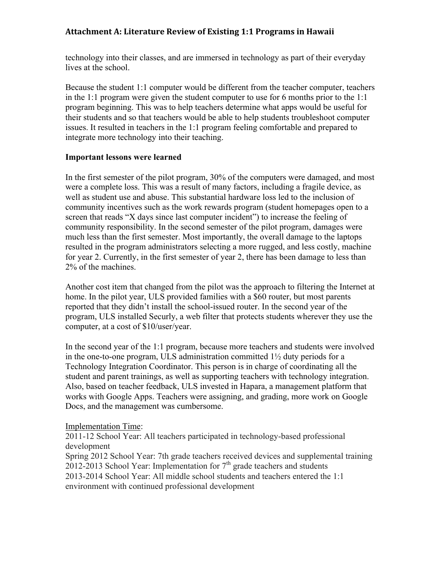technology into their classes, and are immersed in technology as part of their everyday lives at the school.

Because the student 1:1 computer would be different from the teacher computer, teachers in the 1:1 program were given the student computer to use for 6 months prior to the 1:1 program beginning. This was to help teachers determine what apps would be useful for their students and so that teachers would be able to help students troubleshoot computer issues. It resulted in teachers in the 1:1 program feeling comfortable and prepared to integrate more technology into their teaching.

### **Important lessons were learned**

In the first semester of the pilot program, 30% of the computers were damaged, and most were a complete loss. This was a result of many factors, including a fragile device, as well as student use and abuse. This substantial hardware loss led to the inclusion of community incentives such as the work rewards program (student homepages open to a screen that reads "X days since last computer incident") to increase the feeling of community responsibility. In the second semester of the pilot program, damages were much less than the first semester. Most importantly, the overall damage to the laptops resulted in the program administrators selecting a more rugged, and less costly, machine for year 2. Currently, in the first semester of year 2, there has been damage to less than 2% of the machines.

Another cost item that changed from the pilot was the approach to filtering the Internet at home. In the pilot year, ULS provided families with a \$60 router, but most parents reported that they didn't install the school-issued router. In the second year of the program, ULS installed Securly, a web filter that protects students wherever they use the computer, at a cost of \$10/user/year.

In the second year of the 1:1 program, because more teachers and students were involved in the one-to-one program, ULS administration committed 1½ duty periods for a Technology Integration Coordinator. This person is in charge of coordinating all the student and parent trainings, as well as supporting teachers with technology integration. Also, based on teacher feedback, ULS invested in Hapara, a management platform that works with Google Apps. Teachers were assigning, and grading, more work on Google Docs, and the management was cumbersome.

## Implementation Time:

2011-12 School Year: All teachers participated in technology-based professional development

Spring 2012 School Year: 7th grade teachers received devices and supplemental training 2012-2013 School Year: Implementation for  $7<sup>th</sup>$  grade teachers and students 2013-2014 School Year: All middle school students and teachers entered the 1:1 environment with continued professional development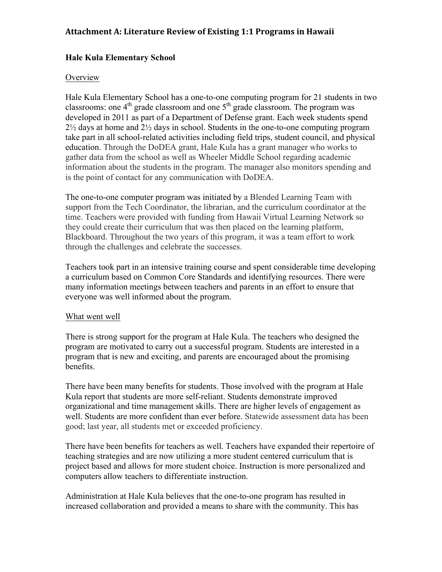## **Hale Kula Elementary School**

### **Overview**

Hale Kula Elementary School has a one-to-one computing program for 21 students in two classrooms: one  $4<sup>th</sup>$  grade classroom and one  $5<sup>th</sup>$  grade classroom. The program was developed in 2011 as part of a Department of Defense grant. Each week students spend 2½ days at home and 2½ days in school. Students in the one-to-one computing program take part in all school-related activities including field trips, student council, and physical education. Through the DoDEA grant, Hale Kula has a grant manager who works to gather data from the school as well as Wheeler Middle School regarding academic information about the students in the program. The manager also monitors spending and is the point of contact for any communication with DoDEA.

The one-to-one computer program was initiated by a Blended Learning Team with support from the Tech Coordinator, the librarian, and the curriculum coordinator at the time. Teachers were provided with funding from Hawaii Virtual Learning Network so they could create their curriculum that was then placed on the learning platform, Blackboard. Throughout the two years of this program, it was a team effort to work through the challenges and celebrate the successes.

Teachers took part in an intensive training course and spent considerable time developing a curriculum based on Common Core Standards and identifying resources. There were many information meetings between teachers and parents in an effort to ensure that everyone was well informed about the program.

### What went well

There is strong support for the program at Hale Kula. The teachers who designed the program are motivated to carry out a successful program. Students are interested in a program that is new and exciting, and parents are encouraged about the promising benefits.

There have been many benefits for students. Those involved with the program at Hale Kula report that students are more self-reliant. Students demonstrate improved organizational and time management skills. There are higher levels of engagement as well. Students are more confident than ever before. Statewide assessment data has been good; last year, all students met or exceeded proficiency.

There have been benefits for teachers as well. Teachers have expanded their repertoire of teaching strategies and are now utilizing a more student centered curriculum that is project based and allows for more student choice. Instruction is more personalized and computers allow teachers to differentiate instruction.

Administration at Hale Kula believes that the one-to-one program has resulted in increased collaboration and provided a means to share with the community. This has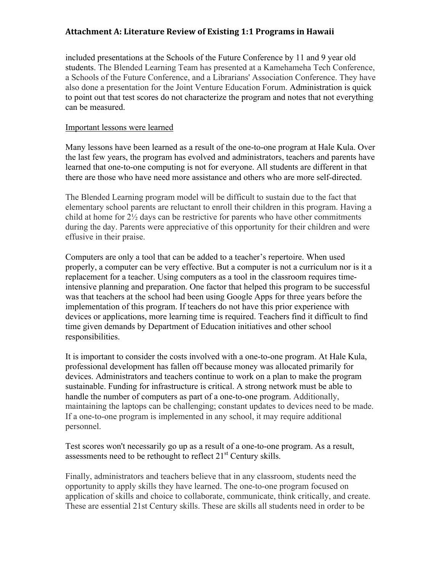included presentations at the Schools of the Future Conference by 11 and 9 year old students. The Blended Learning Team has presented at a Kamehameha Tech Conference, a Schools of the Future Conference, and a Librarians' Association Conference. They have also done a presentation for the Joint Venture Education Forum. Administration is quick to point out that test scores do not characterize the program and notes that not everything can be measured.

### Important lessons were learned

Many lessons have been learned as a result of the one-to-one program at Hale Kula. Over the last few years, the program has evolved and administrators, teachers and parents have learned that one-to-one computing is not for everyone. All students are different in that there are those who have need more assistance and others who are more self-directed.

The Blended Learning program model will be difficult to sustain due to the fact that elementary school parents are reluctant to enroll their children in this program. Having a child at home for 2½ days can be restrictive for parents who have other commitments during the day. Parents were appreciative of this opportunity for their children and were effusive in their praise.

Computers are only a tool that can be added to a teacher's repertoire. When used properly, a computer can be very effective. But a computer is not a curriculum nor is it a replacement for a teacher. Using computers as a tool in the classroom requires timeintensive planning and preparation. One factor that helped this program to be successful was that teachers at the school had been using Google Apps for three years before the implementation of this program. If teachers do not have this prior experience with devices or applications, more learning time is required. Teachers find it difficult to find time given demands by Department of Education initiatives and other school responsibilities.

It is important to consider the costs involved with a one-to-one program. At Hale Kula, professional development has fallen off because money was allocated primarily for devices. Administrators and teachers continue to work on a plan to make the program sustainable. Funding for infrastructure is critical. A strong network must be able to handle the number of computers as part of a one-to-one program. Additionally, maintaining the laptops can be challenging; constant updates to devices need to be made. If a one-to-one program is implemented in any school, it may require additional personnel.

Test scores won't necessarily go up as a result of a one-to-one program. As a result, assessments need to be rethought to reflect  $21<sup>st</sup>$  Century skills.

Finally, administrators and teachers believe that in any classroom, students need the opportunity to apply skills they have learned. The one-to-one program focused on application of skills and choice to collaborate, communicate, think critically, and create. These are essential 21st Century skills. These are skills all students need in order to be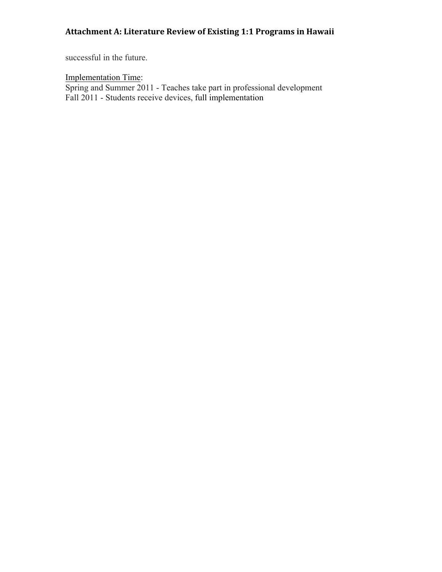successful in the future.

# Implementation Time:

Spring and Summer 2011 - Teaches take part in professional development Fall 2011 - Students receive devices, full implementation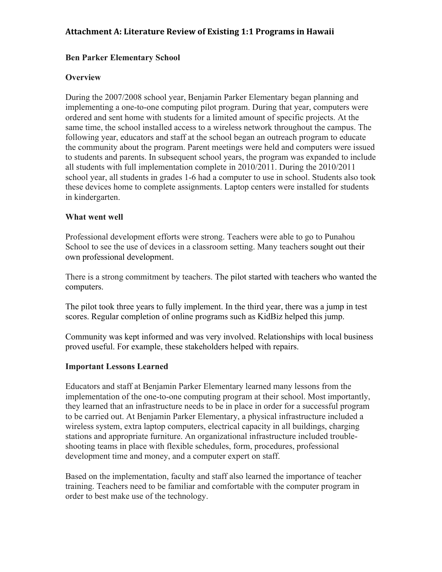### **Ben Parker Elementary School**

### **Overview**

During the 2007/2008 school year, Benjamin Parker Elementary began planning and implementing a one-to-one computing pilot program. During that year, computers were ordered and sent home with students for a limited amount of specific projects. At the same time, the school installed access to a wireless network throughout the campus. The following year, educators and staff at the school began an outreach program to educate the community about the program. Parent meetings were held and computers were issued to students and parents. In subsequent school years, the program was expanded to include all students with full implementation complete in 2010/2011. During the 2010/2011 school year, all students in grades 1-6 had a computer to use in school. Students also took these devices home to complete assignments. Laptop centers were installed for students in kindergarten.

### **What went well**

Professional development efforts were strong. Teachers were able to go to Punahou School to see the use of devices in a classroom setting. Many teachers sought out their own professional development.

There is a strong commitment by teachers. The pilot started with teachers who wanted the computers.

The pilot took three years to fully implement. In the third year, there was a jump in test scores. Regular completion of online programs such as KidBiz helped this jump.

Community was kept informed and was very involved. Relationships with local business proved useful. For example, these stakeholders helped with repairs.

### **Important Lessons Learned**

Educators and staff at Benjamin Parker Elementary learned many lessons from the implementation of the one-to-one computing program at their school. Most importantly, they learned that an infrastructure needs to be in place in order for a successful program to be carried out. At Benjamin Parker Elementary, a physical infrastructure included a wireless system, extra laptop computers, electrical capacity in all buildings, charging stations and appropriate furniture. An organizational infrastructure included troubleshooting teams in place with flexible schedules, form, procedures, professional development time and money, and a computer expert on staff.

Based on the implementation, faculty and staff also learned the importance of teacher training. Teachers need to be familiar and comfortable with the computer program in order to best make use of the technology.